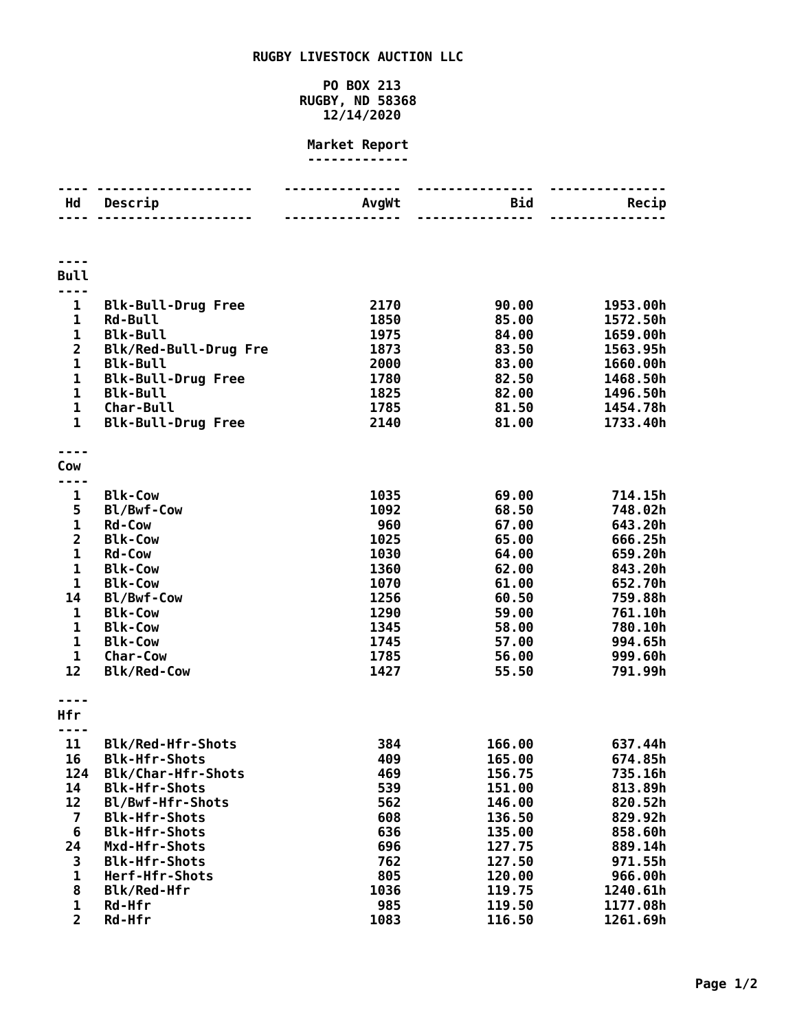## **RUGBY LIVESTOCK AUCTION LLC**

## **PO BOX 213 RUGBY, ND 58368 12/14/2020**

## **Market Report -------------**

| Hd                      | .<br>Descrip                                 | <u> - - - - - - - - - - - - - -</u><br>AvgWt | .<br>Bid         | Recip                |
|-------------------------|----------------------------------------------|----------------------------------------------|------------------|----------------------|
|                         | .                                            |                                              | .                |                      |
|                         |                                              |                                              |                  |                      |
|                         |                                              |                                              |                  |                      |
| <b>Bull</b>             |                                              |                                              |                  |                      |
| $- - -$                 |                                              |                                              |                  |                      |
| $\mathbf{1}$            | <b>Blk-Bull-Drug Free</b>                    | 2170                                         | 90.00            | 1953.00h             |
| 1                       | <b>Rd-Bull</b>                               | 1850                                         | 85.00            | 1572.50h             |
| 1                       | <b>Blk-Bull</b>                              | 1975                                         | 84.00            | 1659.00h             |
| $\overline{\mathbf{c}}$ | Blk/Red-Bull-Drug Fre                        | 1873                                         | 83.50            | 1563.95h             |
| $\mathbf 1$             | <b>Blk-Bull</b>                              | 2000                                         | 83.00            | 1660.00h             |
| 1<br>1                  | <b>Blk-Bull-Drug Free</b><br><b>Blk-Bull</b> | 1780<br>1825                                 | 82.50<br>82.00   | 1468.50h<br>1496.50h |
| $\mathbf 1$             | Char-Bull                                    | 1785                                         | 81.50            | 1454.78h             |
| $\mathbf{1}$            | <b>Blk-Bull-Drug Free</b>                    | 2140                                         | 81.00            | 1733.40h             |
|                         |                                              |                                              |                  |                      |
|                         |                                              |                                              |                  |                      |
| Cow                     |                                              |                                              |                  |                      |
|                         |                                              |                                              |                  |                      |
| 1<br>5                  | <b>Blk-Cow</b>                               | 1035<br>1092                                 | 69.00<br>68.50   | 714.15h              |
| $\mathbf 1$             | Bl/Bwf-Cow<br><b>Rd-Cow</b>                  | 960                                          | 67.00            | 748.02h<br>643.20h   |
| $\overline{2}$          | <b>Blk-Cow</b>                               | 1025                                         | 65.00            | 666.25h              |
| $\mathbf 1$             | <b>Rd-Cow</b>                                | 1030                                         | 64.00            | 659.20h              |
| 1                       | <b>Blk-Cow</b>                               | 1360                                         | 62.00            | 843.20h              |
| 1                       | <b>Blk-Cow</b>                               | 1070                                         | 61.00            | 652.70h              |
| 14                      | Bl/Bwf-Cow                                   | 1256                                         | 60.50            | 759.88h              |
| 1                       | <b>Blk-Cow</b>                               | 1290                                         | 59.00            | 761.10h              |
| 1                       | <b>Blk-Cow</b>                               | 1345                                         | 58.00            | 780.10h              |
| 1                       | <b>Blk-Cow</b>                               | 1745                                         | 57.00            | 994.65h              |
| $\mathbf 1$             | <b>Char-Cow</b>                              | 1785                                         | 56.00            | 999.60h              |
| 12                      | <b>Blk/Red-Cow</b>                           | 1427                                         | 55.50            | 791.99h              |
|                         |                                              |                                              |                  |                      |
| Hfr                     |                                              |                                              |                  |                      |
|                         |                                              |                                              |                  |                      |
| 11                      | Blk/Red-Hfr-Shots                            | 384                                          | 166.00           | 637.44h              |
| 16                      | <b>Blk-Hfr-Shots</b>                         | 409                                          | 165.00           | 674.85h              |
| 124                     | Blk/Char-Hfr-Shots                           | 469                                          | 156.75           | 735.16h              |
| 14                      | <b>Blk-Hfr-Shots</b>                         | 539                                          | 151.00           | 813.89h              |
| 12                      | Bl/Bwf-Hfr-Shots                             | 562                                          | 146.00           | 820.52h              |
| $\overline{7}$          | <b>Blk-Hfr-Shots</b>                         | 608                                          | 136.50           | 829.92h              |
| 6<br>24                 | <b>Blk-Hfr-Shots</b><br>Mxd-Hfr-Shots        | 636<br>696                                   | 135.00<br>127.75 | 858.60h<br>889.14h   |
| 3                       | <b>Blk-Hfr-Shots</b>                         | 762                                          | 127.50           | 971.55h              |
| 1                       | Herf-Hfr-Shots                               | 805                                          | 120.00           | 966.00h              |
| 8                       | Blk/Red-Hfr                                  | 1036                                         | 119.75           | 1240.61h             |
| 1                       | Rd-Hfr                                       | 985                                          | 119.50           | 1177.08h             |
| $\overline{2}$          | Rd-Hfr                                       | 1083                                         | 116.50           | 1261.69h             |